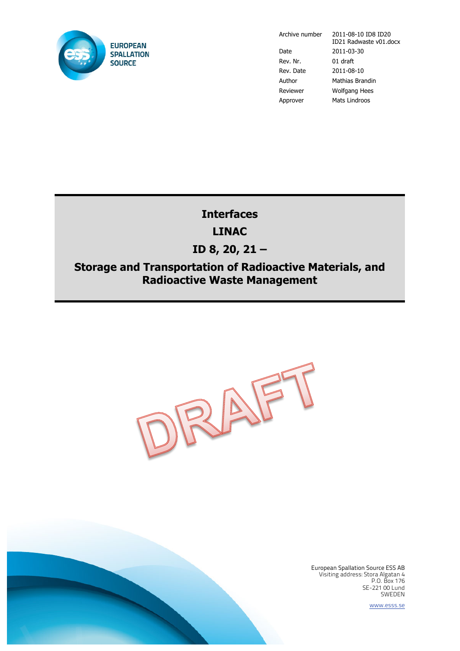

Date 2011-03-30 Rev. Nr. 01 draft Rev. Date 2011-08-10 Author Mathias Brandin Reviewer Wolfgang Hees Approver Mats Lindroos

Archive number 2011-08-10 ID8 ID20 ID21 Radwaste v01.docx

# **Interfaces LINAC**

# **ID 8, 20, 21 –**

# **Storage and Transportation of Radioactive Materials, and Radioactive Waste Management**





European Spallation Source ESS AB Visiting address: Stora Algatan 4 P.O. Box 176 SE-221 00 Lund SWEDEN

www.esss.se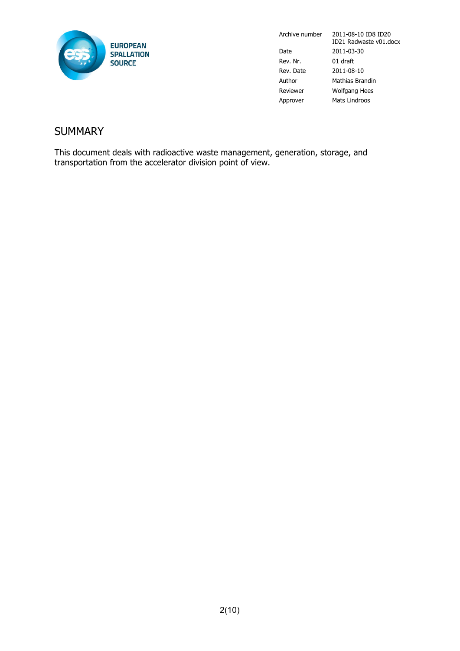

Archive number 2011-08-10 ID8 ID20 ID21 Radwaste v01.docx Date 2011-03-30 Rev. Nr. 01 draft Rev. Date 2011-08-10 Author Mathias Brandin Reviewer Wolfgang Hees Approver Mats Lindroos

### **SUMMARY**

This document deals with radioactive waste management, generation, storage, and transportation from the accelerator division point of view.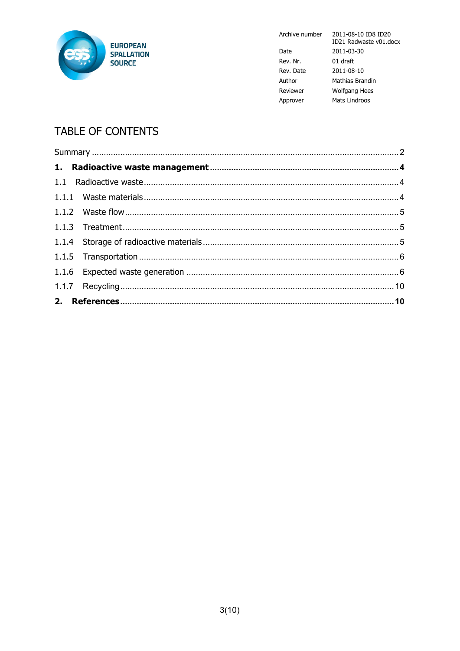

Archive number

|           | 11)21            |
|-----------|------------------|
| Date      | $2011 -$         |
| Rev. Nr.  | 01 <sub>dr</sub> |
| Rev. Date | 2011             |
| Author    | Mathi            |
| Reviewer  | Wolfo            |
| Approver  | Mats             |

#### 2011-08-10 ID8 ID20 ID21 Radwaste v01.docx  $-03-30$ raft  $-08-10$ ias Brandin gang Hees Lindroos

# **TABLE OF CONTENTS**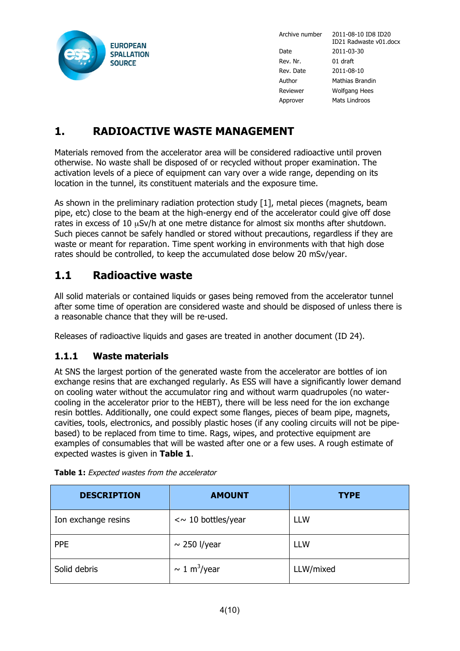

Archive number 2011-08-10 ID8 ID20

ID21 Radwaste v01.docx Date 2011-03-30 Rev. Nr. 01 draft Rev. Date 2011-08-10 Author Mathias Brandin Reviewer Wolfgang Hees Approver Mats Lindroos

# **1. RADIOACTIVE WASTE MANAGEMENT**

Materials removed from the accelerator area will be considered radioactive until proven otherwise. No waste shall be disposed of or recycled without proper examination. The activation levels of a piece of equipment can vary over a wide range, depending on its location in the tunnel, its constituent materials and the exposure time.

As shown in the preliminary radiation protection study [1], metal pieces (magnets, beam pipe, etc) close to the beam at the high-energy end of the accelerator could give off dose rates in excess of 10  $\mu$ Sv/h at one metre distance for almost six months after shutdown. Such pieces cannot be safely handled or stored without precautions, regardless if they are waste or meant for reparation. Time spent working in environments with that high dose rates should be controlled, to keep the accumulated dose below 20 mSv/year.

### **1.1 Radioactive waste**

All solid materials or contained liquids or gases being removed from the accelerator tunnel after some time of operation are considered waste and should be disposed of unless there is a reasonable chance that they will be re-used.

Releases of radioactive liquids and gases are treated in another document (ID 24).

#### **1.1.1 Waste materials**

At SNS the largest portion of the generated waste from the accelerator are bottles of ion exchange resins that are exchanged regularly. As ESS will have a significantly lower demand on cooling water without the accumulator ring and without warm quadrupoles (no watercooling in the accelerator prior to the HEBT), there will be less need for the ion exchange resin bottles. Additionally, one could expect some flanges, pieces of beam pipe, magnets, cavities, tools, electronics, and possibly plastic hoses (if any cooling circuits will not be pipebased) to be replaced from time to time. Rags, wipes, and protective equipment are examples of consumables that will be wasted after one or a few uses. A rough estimate of expected wastes is given in **Table 1**.

| <b>DESCRIPTION</b>  | <b>AMOUNT</b>              | <b>TYPE</b> |
|---------------------|----------------------------|-------------|
| Ion exchange resins | $\sim$ 10 bottles/year     | <b>LLW</b>  |
| <b>PPE</b>          | $\sim$ 250 l/year          | <b>LLW</b>  |
| Solid debris        | $\sim 1 \text{ m}^3$ /year | LLW/mixed   |

**Table 1:** Expected wastes from the accelerator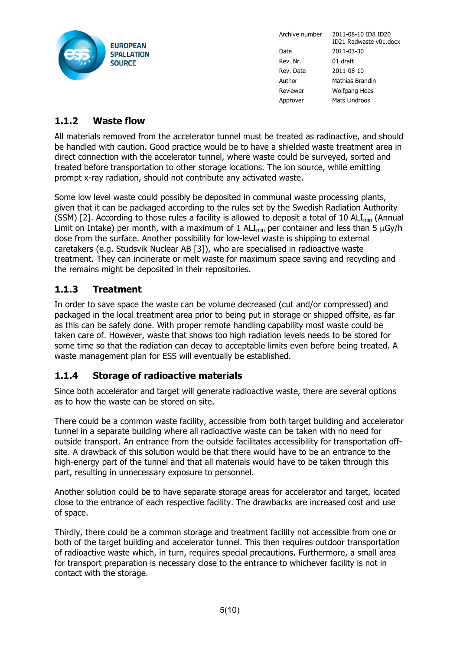

Archive number 2011-08-10 ID8 ID20 ID21 Radwaste v01.docx Date 2011-03-30 Rev. Nr. 01 draft Rev. Date 2011-08-10 Author Mathias Brandin Reviewer Wolfgang Hees Approver Mats Lindroos

#### **1.1.2 Waste flow**

All materials removed from the accelerator tunnel must be treated as radioactive, and should be handled with caution. Good practice would be to have a shielded waste treatment area in direct connection with the accelerator tunnel, where waste could be surveyed, sorted and treated before transportation to other storage locations. The ion source, while emitting prompt x-ray radiation, should not contribute any activated waste.

Some low level waste could possibly be deposited in communal waste processing plants, given that it can be packaged according to the rules set by the Swedish Radiation Authority (SSM) [2]. According to those rules a facility is allowed to deposit a total of 10 ALI<sub>min</sub> (Annual Limit on Intake) per month, with a maximum of 1 ALI<sub>min</sub> per container and less than 5  $\mu$ Gy/h dose from the surface. Another possibility for low-level waste is shipping to external caretakers (e.g. Studsvik Nuclear AB [3]), who are specialised in radioactive waste treatment. They can incinerate or melt waste for maximum space saving and recycling and the remains might be deposited in their repositories.

#### **1.1.3 Treatment**

In order to save space the waste can be volume decreased (cut and/or compressed) and packaged in the local treatment area prior to being put in storage or shipped offsite, as far as this can be safely done. With proper remote handling capability most waste could be taken care of. However, waste that shows too high radiation levels needs to be stored for some time so that the radiation can decay to acceptable limits even before being treated. A waste management plan for ESS will eventually be established.

#### **1.1.4 Storage of radioactive materials**

Since both accelerator and target will generate radioactive waste, there are several options as to how the waste can be stored on site.

There could be a common waste facility, accessible from both target building and accelerator tunnel in a separate building where all radioactive waste can be taken with no need for outside transport. An entrance from the outside facilitates accessibility for transportation offsite. A drawback of this solution would be that there would have to be an entrance to the high-energy part of the tunnel and that all materials would have to be taken through this part, resulting in unnecessary exposure to personnel.

Another solution could be to have separate storage areas for accelerator and target, located close to the entrance of each respective facility. The drawbacks are increased cost and use of space.

Thirdly, there could be a common storage and treatment facility not accessible from one or both of the target building and accelerator tunnel. This then requires outdoor transportation of radioactive waste which, in turn, requires special precautions. Furthermore, a small area for transport preparation is necessary close to the entrance to whichever facility is not in contact with the storage.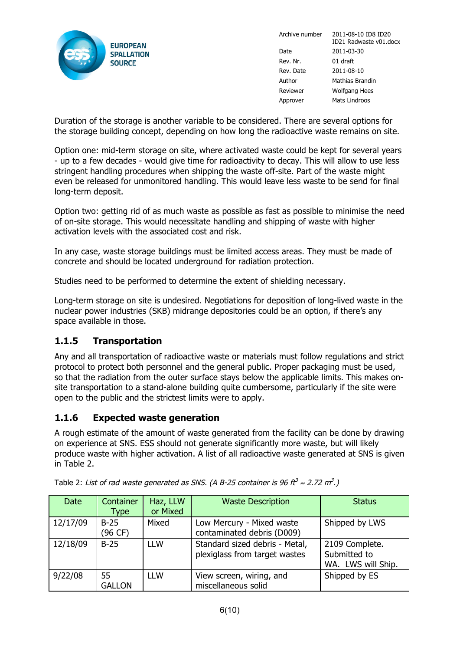

Archive number 2011-08-10 ID8 ID20 ID21 Radwaste v01.docx Date 2011-03-30 Rev. Nr. 01 draft Rev. Date 2011-08-10 Author Mathias Brandin Reviewer Wolfgang Hees Approver Mats Lindroos

Duration of the storage is another variable to be considered. There are several options for the storage building concept, depending on how long the radioactive waste remains on site.

Option one: mid-term storage on site, where activated waste could be kept for several years - up to a few decades - would give time for radioactivity to decay. This will allow to use less stringent handling procedures when shipping the waste off-site. Part of the waste might even be released for unmonitored handling. This would leave less waste to be send for final long-term deposit.

Option two: getting rid of as much waste as possible as fast as possible to minimise the need of on-site storage. This would necessitate handling and shipping of waste with higher activation levels with the associated cost and risk.

In any case, waste storage buildings must be limited access areas. They must be made of concrete and should be located underground for radiation protection.

Studies need to be performed to determine the extent of shielding necessary.

Long-term storage on site is undesired. Negotiations for deposition of long-lived waste in the nuclear power industries (SKB) midrange depositories could be an option, if there's any space available in those.

#### **1.1.5 Transportation**

Any and all transportation of radioactive waste or materials must follow regulations and strict protocol to protect both personnel and the general public. Proper packaging must be used, so that the radiation from the outer surface stays below the applicable limits. This makes onsite transportation to a stand-alone building quite cumbersome, particularly if the site were open to the public and the strictest limits were to apply.

#### **1.1.6 Expected waste generation**

A rough estimate of the amount of waste generated from the facility can be done by drawing on experience at SNS. ESS should not generate significantly more waste, but will likely produce waste with higher activation. A list of all radioactive waste generated at SNS is given in Table 2.

| <b>Date</b> | Container<br><b>Type</b> | Haz, LLW<br>or Mixed | <b>Waste Description</b>                                        | <b>Status</b>                                        |
|-------------|--------------------------|----------------------|-----------------------------------------------------------------|------------------------------------------------------|
| 12/17/09    | $B-25$<br>(96 CF)        | Mixed                | Low Mercury - Mixed waste<br>contaminated debris (D009)         | Shipped by LWS                                       |
| 12/18/09    | $B-25$                   | <b>LLW</b>           | Standard sized debris - Metal,<br>plexiglass from target wastes | 2109 Complete.<br>Submitted to<br>WA. LWS will Ship. |
| 9/22/08     | 55<br><b>GALLON</b>      | <b>LLW</b>           | View screen, wiring, and<br>miscellaneous solid                 | Shipped by ES                                        |

Table 2: List of rad waste generated as SNS. (A B-25 container is 96 ft<sup>3</sup>  $\approx$  2.72 m<sup>3</sup>.)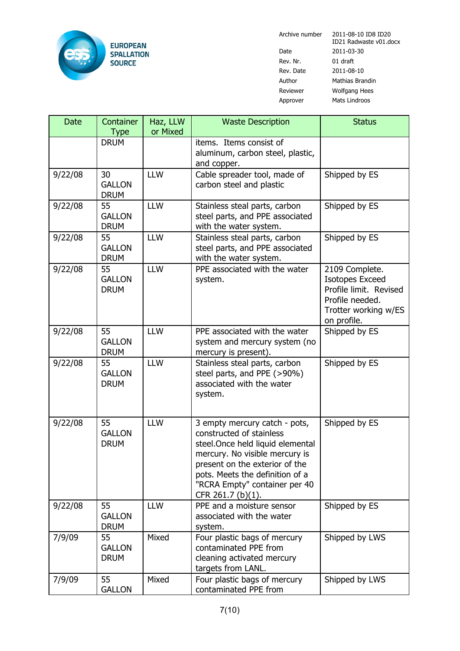

Date 2011-03-30 Rev. Nr. 01 draft Rev. Date 2011-08-10 Reviewer Wolfgang Hees

Archive number 2011-08-10 ID8 ID20 ID21 Radwaste v01.docx Author Mathias Brandin Approver Mats Lindroos

| <b>Date</b> | Container<br><b>Type</b>           | Haz, LLW<br>or Mixed | <b>Waste Description</b>                                                                                                                                                                                                                                    | <b>Status</b>                                                                                                                |
|-------------|------------------------------------|----------------------|-------------------------------------------------------------------------------------------------------------------------------------------------------------------------------------------------------------------------------------------------------------|------------------------------------------------------------------------------------------------------------------------------|
|             | <b>DRUM</b>                        |                      | items. Items consist of<br>aluminum, carbon steel, plastic,<br>and copper.                                                                                                                                                                                  |                                                                                                                              |
| 9/22/08     | 30<br><b>GALLON</b><br><b>DRUM</b> | <b>LLW</b>           | Cable spreader tool, made of<br>carbon steel and plastic                                                                                                                                                                                                    | Shipped by ES                                                                                                                |
| 9/22/08     | 55<br><b>GALLON</b><br><b>DRUM</b> | <b>LLW</b>           | Stainless steal parts, carbon<br>steel parts, and PPE associated<br>with the water system.                                                                                                                                                                  | Shipped by ES                                                                                                                |
| 9/22/08     | 55<br><b>GALLON</b><br><b>DRUM</b> | <b>LLW</b>           | Stainless steal parts, carbon<br>steel parts, and PPE associated<br>with the water system.                                                                                                                                                                  | Shipped by ES                                                                                                                |
| 9/22/08     | 55<br><b>GALLON</b><br><b>DRUM</b> | <b>LLW</b>           | PPE associated with the water<br>system.                                                                                                                                                                                                                    | 2109 Complete.<br><b>Isotopes Exceed</b><br>Profile limit. Revised<br>Profile needed.<br>Trotter working w/ES<br>on profile. |
| 9/22/08     | 55<br><b>GALLON</b><br><b>DRUM</b> | <b>LLW</b>           | PPE associated with the water<br>system and mercury system (no<br>mercury is present).                                                                                                                                                                      | Shipped by ES                                                                                                                |
| 9/22/08     | 55<br><b>GALLON</b><br><b>DRUM</b> | <b>LLW</b>           | Stainless steal parts, carbon<br>steel parts, and PPE (>90%)<br>associated with the water<br>system.                                                                                                                                                        | Shipped by ES                                                                                                                |
| 9/22/08     | 55<br><b>GALLON</b><br><b>DRUM</b> | <b>LLW</b>           | 3 empty mercury catch - pots,<br>constructed of stainless<br>steel. Once held liquid elemental<br>mercury. No visible mercury is<br>present on the exterior of the<br>pots. Meets the definition of a<br>"RCRA Empty" container per 40<br>CFR 261.7 (b)(1). | Shipped by ES                                                                                                                |
| 9/22/08     | 55<br><b>GALLON</b><br><b>DRUM</b> | <b>LLW</b>           | PPE and a moisture sensor<br>associated with the water<br>system.                                                                                                                                                                                           | Shipped by ES                                                                                                                |
| 7/9/09      | 55<br><b>GALLON</b><br><b>DRUM</b> | Mixed                | Four plastic bags of mercury<br>contaminated PPE from<br>cleaning activated mercury<br>targets from LANL.                                                                                                                                                   | Shipped by LWS                                                                                                               |
| 7/9/09      | 55<br><b>GALLON</b>                | Mixed                | Four plastic bags of mercury<br>contaminated PPE from                                                                                                                                                                                                       | Shipped by LWS                                                                                                               |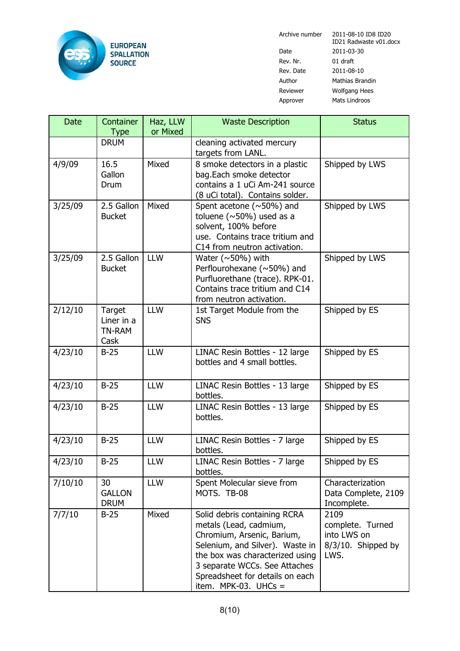

Date 2011-03-30 Rev. Nr. 01 draft Rev. Date 2011-08-10 Author Mathias Brandin Reviewer Wolfgang Hees

Archive number 2011-08-10 ID8 ID20 ID21 Radwaste v01.docx Approver Mats Lindroos

| <b>Date</b> | Container<br><b>Type</b>                      | Haz, LLW<br>or Mixed | <b>Waste Description</b>                                                                                                                                                                                                                                 | <b>Status</b>                                                            |
|-------------|-----------------------------------------------|----------------------|----------------------------------------------------------------------------------------------------------------------------------------------------------------------------------------------------------------------------------------------------------|--------------------------------------------------------------------------|
|             | <b>DRUM</b>                                   |                      | cleaning activated mercury<br>targets from LANL.                                                                                                                                                                                                         |                                                                          |
| 4/9/09      | 16.5<br>Gallon<br>Drum                        | Mixed                | 8 smoke detectors in a plastic<br>bag.Each smoke detector<br>contains a 1 uCi Am-241 source<br>(8 uCi total). Contains solder.                                                                                                                           | Shipped by LWS                                                           |
| 3/25/09     | 2.5 Gallon<br><b>Bucket</b>                   | Mixed                | Spent acetone (~50%) and<br>toluene ( $\sim$ 50%) used as a<br>solvent, 100% before<br>use. Contains trace tritium and<br>C14 from neutron activation.                                                                                                   | Shipped by LWS                                                           |
| 3/25/09     | 2.5 Gallon<br><b>Bucket</b>                   | <b>LLW</b>           | Water ( $\sim$ 50%) with<br>Perflourohexane (~50%) and<br>Purfluorethane (trace). RPK-01.<br>Contains trace tritium and C14<br>from neutron activation.                                                                                                  | Shipped by LWS                                                           |
| 2/12/10     | Target<br>Liner in a<br><b>TN-RAM</b><br>Cask | <b>LLW</b>           | 1st Target Module from the<br><b>SNS</b>                                                                                                                                                                                                                 | Shipped by ES                                                            |
| 4/23/10     | $B-25$                                        | <b>LLW</b>           | LINAC Resin Bottles - 12 large<br>bottles and 4 small bottles.                                                                                                                                                                                           | Shipped by ES                                                            |
| 4/23/10     | $B-25$                                        | <b>LLW</b>           | LINAC Resin Bottles - 13 large<br>bottles.                                                                                                                                                                                                               | Shipped by ES                                                            |
| 4/23/10     | $B-25$                                        | <b>LLW</b>           | LINAC Resin Bottles - 13 large<br>bottles.                                                                                                                                                                                                               | Shipped by ES                                                            |
| 4/23/10     | $B-25$                                        | <b>LLW</b>           | LINAC Resin Bottles - 7 large<br>bottles.                                                                                                                                                                                                                | Shipped by ES                                                            |
| 4/23/10     | $B-25$                                        | <b>LLW</b>           | LINAC Resin Bottles - 7 large<br>bottles.                                                                                                                                                                                                                | Shipped by ES                                                            |
| 7/10/10     | 30<br><b>GALLON</b><br><b>DRUM</b>            | <b>LLW</b>           | Spent Molecular sieve from<br>MOTS. TB-08                                                                                                                                                                                                                | Characterization<br>Data Complete, 2109<br>Incomplete.                   |
| 7/7/10      | $B-25$                                        | Mixed                | Solid debris containing RCRA<br>metals (Lead, cadmium,<br>Chromium, Arsenic, Barium,<br>Selenium, and Silver). Waste in<br>the box was characterized using<br>3 separate WCCs. See Attaches<br>Spreadsheet for details on each<br>item. MPK-03. UHCs $=$ | 2109<br>complete. Turned<br>into LWS on<br>$8/3/10$ . Shipped by<br>LWS. |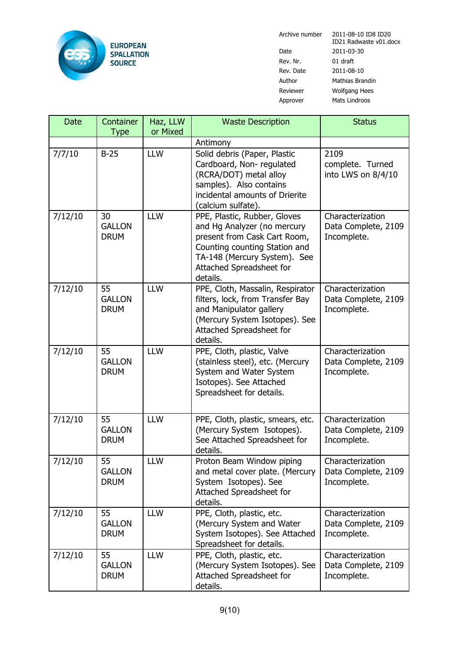

Date 2011-03-30 Rev. Nr. 01 draft Rev. Date 2011-08-10 Author Mathias Brandin Reviewer Wolfgang Hees Approver Mats Lindroos

Archive number 2011-08-10 ID8 ID20 ID21 Radwaste v01.docx

| Date    | Container<br><b>Type</b>           | Haz, LLW<br>or Mixed | <b>Waste Description</b>                                                                                                                                                                             | <b>Status</b>                                          |
|---------|------------------------------------|----------------------|------------------------------------------------------------------------------------------------------------------------------------------------------------------------------------------------------|--------------------------------------------------------|
|         |                                    |                      | Antimony                                                                                                                                                                                             |                                                        |
| 7/7/10  | $B-25$                             | <b>LLW</b>           | Solid debris (Paper, Plastic<br>Cardboard, Non-regulated<br>(RCRA/DOT) metal alloy<br>samples). Also contains<br>incidental amounts of Drierite<br>(calcium sulfate).                                | 2109<br>complete. Turned<br>into LWS on 8/4/10         |
| 7/12/10 | 30<br><b>GALLON</b><br><b>DRUM</b> | <b>LLW</b>           | PPE, Plastic, Rubber, Gloves<br>and Hg Analyzer (no mercury<br>present from Cask Cart Room,<br>Counting counting Station and<br>TA-148 (Mercury System). See<br>Attached Spreadsheet for<br>details. | Characterization<br>Data Complete, 2109<br>Incomplete. |
| 7/12/10 | 55<br><b>GALLON</b><br><b>DRUM</b> | <b>LLW</b>           | PPE, Cloth, Massalin, Respirator<br>filters, lock, from Transfer Bay<br>and Manipulator gallery<br>(Mercury System Isotopes). See<br>Attached Spreadsheet for<br>details.                            | Characterization<br>Data Complete, 2109<br>Incomplete. |
| 7/12/10 | 55<br><b>GALLON</b><br><b>DRUM</b> | <b>LLW</b>           | PPE, Cloth, plastic, Valve<br>(stainless steel), etc. (Mercury<br>System and Water System<br>Isotopes). See Attached<br>Spreadsheet for details.                                                     | Characterization<br>Data Complete, 2109<br>Incomplete. |
| 7/12/10 | 55<br><b>GALLON</b><br><b>DRUM</b> | <b>LLW</b>           | PPE, Cloth, plastic, smears, etc.<br>(Mercury System Isotopes).<br>See Attached Spreadsheet for<br>details.                                                                                          | Characterization<br>Data Complete, 2109<br>Incomplete. |
| 7/12/10 | 55<br><b>GALLON</b><br><b>DRUM</b> | <b>LLW</b>           | Proton Beam Window piping<br>and metal cover plate. (Mercury<br>System Isotopes). See<br>Attached Spreadsheet for<br>details.                                                                        | Characterization<br>Data Complete, 2109<br>Incomplete. |
| 7/12/10 | 55<br><b>GALLON</b><br><b>DRUM</b> | <b>LLW</b>           | PPE, Cloth, plastic, etc.<br>(Mercury System and Water<br>System Isotopes). See Attached<br>Spreadsheet for details.                                                                                 | Characterization<br>Data Complete, 2109<br>Incomplete. |
| 7/12/10 | 55<br><b>GALLON</b><br><b>DRUM</b> | <b>LLW</b>           | PPE, Cloth, plastic, etc.<br>(Mercury System Isotopes). See<br>Attached Spreadsheet for<br>details.                                                                                                  | Characterization<br>Data Complete, 2109<br>Incomplete. |